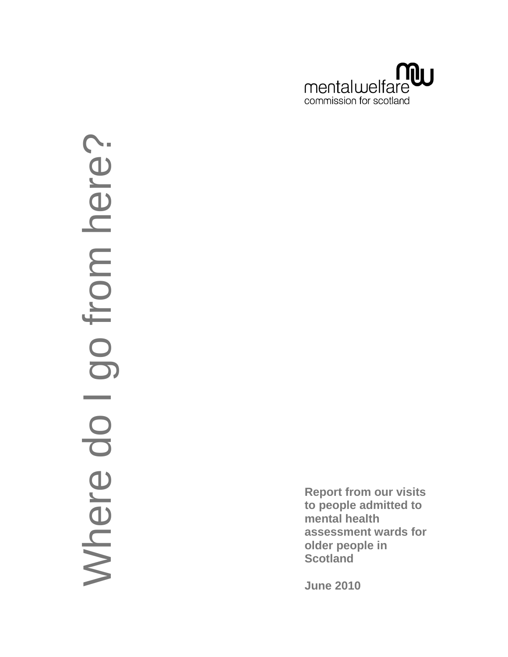

# go from here? Where do I go from here Mhere do I

**Report from our visits to people admitted to mental health assessment wards for older people in Scotland**

**June 2010**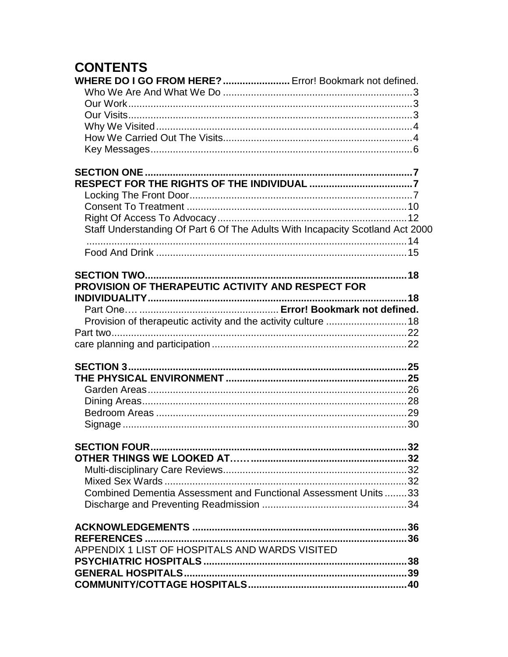# **CONTENTS**

| WHERE DO I GO FROM HERE?  Error! Bookmark not defined.         |                                                                               |
|----------------------------------------------------------------|-------------------------------------------------------------------------------|
|                                                                |                                                                               |
|                                                                |                                                                               |
|                                                                |                                                                               |
|                                                                |                                                                               |
|                                                                |                                                                               |
|                                                                |                                                                               |
|                                                                |                                                                               |
|                                                                |                                                                               |
|                                                                |                                                                               |
|                                                                |                                                                               |
|                                                                |                                                                               |
|                                                                | Staff Understanding Of Part 6 Of The Adults With Incapacity Scotland Act 2000 |
|                                                                |                                                                               |
|                                                                |                                                                               |
|                                                                |                                                                               |
| PROVISION OF THERAPEUTIC ACTIVITY AND RESPECT FOR              |                                                                               |
|                                                                | 18                                                                            |
|                                                                |                                                                               |
| Provision of therapeutic activity and the activity culture  18 |                                                                               |
|                                                                |                                                                               |
|                                                                |                                                                               |
|                                                                |                                                                               |
|                                                                |                                                                               |
|                                                                |                                                                               |
|                                                                |                                                                               |
|                                                                |                                                                               |
|                                                                |                                                                               |
|                                                                |                                                                               |
|                                                                |                                                                               |
|                                                                |                                                                               |
|                                                                |                                                                               |
|                                                                |                                                                               |
| Combined Dementia Assessment and Functional Assessment Units33 |                                                                               |
|                                                                |                                                                               |
|                                                                |                                                                               |
|                                                                |                                                                               |
| APPENDIX 1 LIST OF HOSPITALS AND WARDS VISITED                 |                                                                               |
|                                                                |                                                                               |
|                                                                |                                                                               |
|                                                                |                                                                               |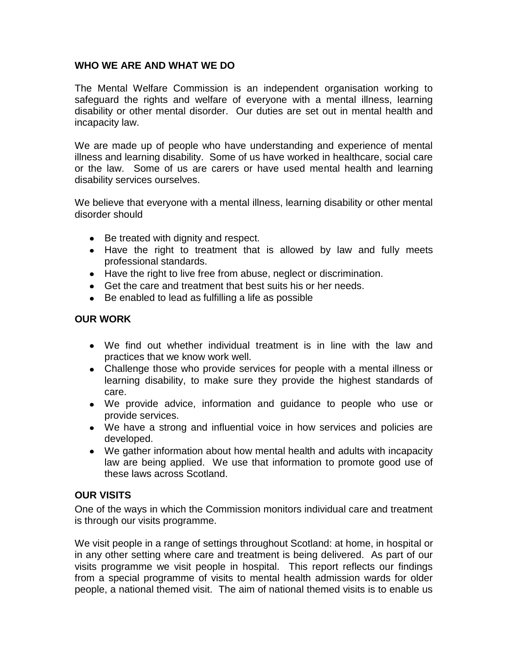## <span id="page-2-0"></span>**WHO WE ARE AND WHAT WE DO**

The Mental Welfare Commission is an independent organisation working to safeguard the rights and welfare of everyone with a mental illness, learning disability or other mental disorder. Our duties are set out in mental health and incapacity law.

We are made up of people who have understanding and experience of mental illness and learning disability. Some of us have worked in healthcare, social care or the law. Some of us are carers or have used mental health and learning disability services ourselves.

We believe that everyone with a mental illness, learning disability or other mental disorder should

- Be treated with dignity and respect.
- Have the right to treatment that is allowed by law and fully meets professional standards.
- Have the right to live free from abuse, neglect or discrimination.
- Get the care and treatment that best suits his or her needs.
- Be enabled to lead as fulfilling a life as possible

## <span id="page-2-1"></span>**OUR WORK**

- We find out whether individual treatment is in line with the law and practices that we know work well.
- Challenge those who provide services for people with a mental illness or learning disability, to make sure they provide the highest standards of care.
- We provide advice, information and guidance to people who use or provide services.
- We have a strong and influential voice in how services and policies are developed.
- We gather information about how mental health and adults with incapacity law are being applied. We use that information to promote good use of these laws across Scotland.

## <span id="page-2-2"></span>**OUR VISITS**

One of the ways in which the Commission monitors individual care and treatment is through our visits programme.

We visit people in a range of settings throughout Scotland: at home, in hospital or in any other setting where care and treatment is being delivered. As part of our visits programme we visit people in hospital. This report reflects our findings from a special programme of visits to mental health admission wards for older people, a national themed visit. The aim of national themed visits is to enable us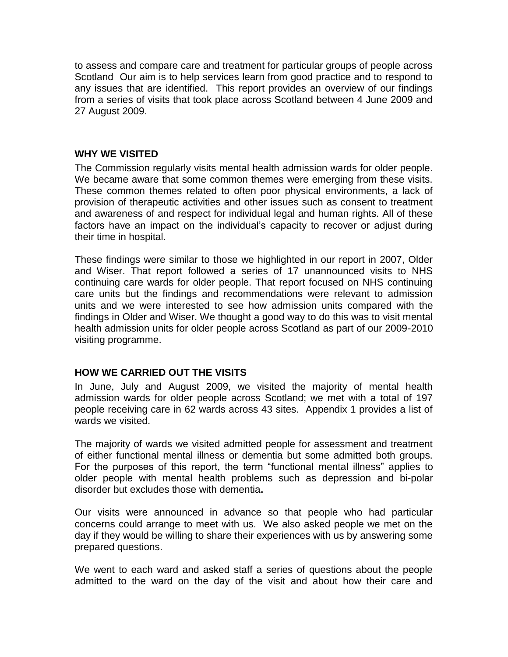to assess and compare care and treatment for particular groups of people across Scotland Our aim is to help services learn from good practice and to respond to any issues that are identified. This report provides an overview of our findings from a series of visits that took place across Scotland between 4 June 2009 and 27 August 2009.

## <span id="page-3-0"></span>**WHY WE VISITED**

The Commission regularly visits mental health admission wards for older people. We became aware that some common themes were emerging from these visits. These common themes related to often poor physical environments, a lack of provision of therapeutic activities and other issues such as consent to treatment and awareness of and respect for individual legal and human rights. All of these factors have an impact on the individual's capacity to recover or adjust during their time in hospital.

These findings were similar to those we highlighted in our report in 2007, Older and Wiser. That report followed a series of 17 unannounced visits to NHS continuing care wards for older people. That report focused on NHS continuing care units but the findings and recommendations were relevant to admission units and we were interested to see how admission units compared with the findings in Older and Wiser. We thought a good way to do this was to visit mental health admission units for older people across Scotland as part of our 2009-2010 visiting programme.

## <span id="page-3-1"></span>**HOW WE CARRIED OUT THE VISITS**

In June, July and August 2009, we visited the majority of mental health admission wards for older people across Scotland; we met with a total of 197 people receiving care in 62 wards across 43 sites. Appendix 1 provides a list of wards we visited.

The majority of wards we visited admitted people for assessment and treatment of either functional mental illness or dementia but some admitted both groups. For the purposes of this report, the term "functional mental illness" applies to older people with mental health problems such as depression and bi-polar disorder but excludes those with dementia**.**

Our visits were announced in advance so that people who had particular concerns could arrange to meet with us. We also asked people we met on the day if they would be willing to share their experiences with us by answering some prepared questions.

We went to each ward and asked staff a series of questions about the people admitted to the ward on the day of the visit and about how their care and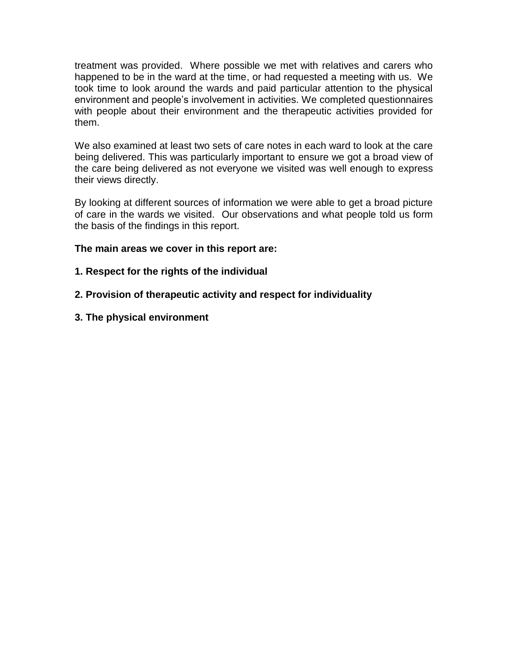treatment was provided. Where possible we met with relatives and carers who happened to be in the ward at the time, or had requested a meeting with us. We took time to look around the wards and paid particular attention to the physical environment and people"s involvement in activities. We completed questionnaires with people about their environment and the therapeutic activities provided for them.

We also examined at least two sets of care notes in each ward to look at the care being delivered. This was particularly important to ensure we got a broad view of the care being delivered as not everyone we visited was well enough to express their views directly.

By looking at different sources of information we were able to get a broad picture of care in the wards we visited. Our observations and what people told us form the basis of the findings in this report.

## **The main areas we cover in this report are:**

## **1. Respect for the rights of the individual**

- **2. Provision of therapeutic activity and respect for individuality**
- **3. The physical environment**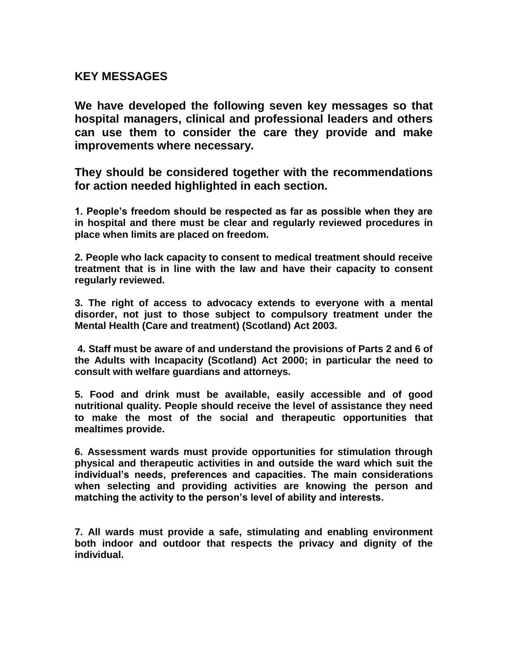## <span id="page-5-0"></span>**KEY MESSAGES**

**We have developed the following seven key messages so that hospital managers, clinical and professional leaders and others can use them to consider the care they provide and make improvements where necessary.**

**They should be considered together with the recommendations for action needed highlighted in each section.** 

**1. People's freedom should be respected as far as possible when they are in hospital and there must be clear and regularly reviewed procedures in place when limits are placed on freedom.**

**2. People who lack capacity to consent to medical treatment should receive treatment that is in line with the law and have their capacity to consent regularly reviewed.**

**3. The right of access to advocacy extends to everyone with a mental disorder, not just to those subject to compulsory treatment under the Mental Health (Care and treatment) (Scotland) Act 2003.**

**4. Staff must be aware of and understand the provisions of Parts 2 and 6 of the Adults with Incapacity (Scotland) Act 2000; in particular the need to consult with welfare guardians and attorneys.**

**5. Food and drink must be available, easily accessible and of good nutritional quality. People should receive the level of assistance they need to make the most of the social and therapeutic opportunities that mealtimes provide.**

**6. Assessment wards must provide opportunities for stimulation through physical and therapeutic activities in and outside the ward which suit the individual's needs, preferences and capacities. The main considerations when selecting and providing activities are knowing the person and matching the activity to the person's level of ability and interests.**

**7. All wards must provide a safe, stimulating and enabling environment both indoor and outdoor that respects the privacy and dignity of the individual.**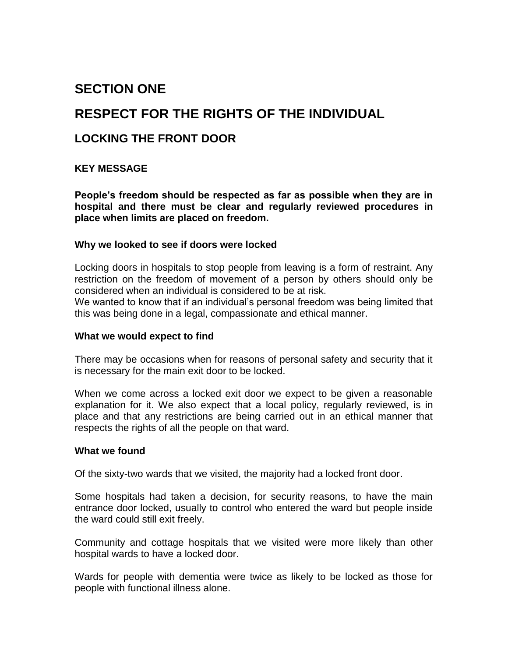# <span id="page-6-0"></span>**SECTION ONE**

## <span id="page-6-1"></span>**RESPECT FOR THE RIGHTS OF THE INDIVIDUAL**

## <span id="page-6-2"></span>**LOCKING THE FRONT DOOR**

## **KEY MESSAGE**

**People's freedom should be respected as far as possible when they are in hospital and there must be clear and regularly reviewed procedures in place when limits are placed on freedom.**

## **Why we looked to see if doors were locked**

Locking doors in hospitals to stop people from leaving is a form of restraint. Any restriction on the freedom of movement of a person by others should only be considered when an individual is considered to be at risk.

We wanted to know that if an individual"s personal freedom was being limited that this was being done in a legal, compassionate and ethical manner.

## **What we would expect to find**

There may be occasions when for reasons of personal safety and security that it is necessary for the main exit door to be locked.

When we come across a locked exit door we expect to be given a reasonable explanation for it. We also expect that a local policy, regularly reviewed, is in place and that any restrictions are being carried out in an ethical manner that respects the rights of all the people on that ward.

## **What we found**

Of the sixty-two wards that we visited, the majority had a locked front door.

Some hospitals had taken a decision, for security reasons, to have the main entrance door locked, usually to control who entered the ward but people inside the ward could still exit freely.

Community and cottage hospitals that we visited were more likely than other hospital wards to have a locked door.

Wards for people with dementia were twice as likely to be locked as those for people with functional illness alone.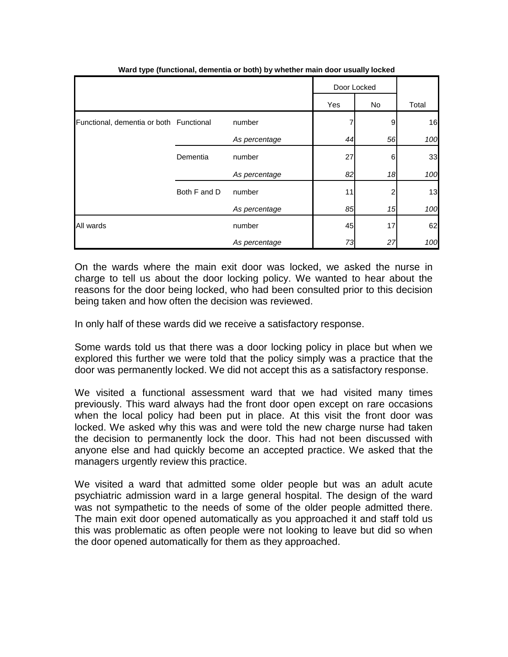|                                         |              |               | Door Locked |    |       |
|-----------------------------------------|--------------|---------------|-------------|----|-------|
|                                         |              |               | Yes         | No | Total |
| Functional, dementia or both Functional |              | number        |             | 9  | 16    |
|                                         |              | As percentage | 44          | 56 | 100   |
|                                         | Dementia     | number        | 27          | 6  | 33    |
|                                         |              | As percentage | 82          | 18 | 100   |
|                                         | Both F and D | number        | 11          |    | 13    |
|                                         |              | As percentage | 85          | 15 | 100   |
| All wards                               |              | number        | 45          | 17 | 62    |
|                                         |              | As percentage | 73          | 27 | 100   |

**Ward type (functional, dementia or both) by whether main door usually locked** 

On the wards where the main exit door was locked, we asked the nurse in charge to tell us about the door locking policy. We wanted to hear about the reasons for the door being locked, who had been consulted prior to this decision being taken and how often the decision was reviewed.

In only half of these wards did we receive a satisfactory response.

Some wards told us that there was a door locking policy in place but when we explored this further we were told that the policy simply was a practice that the door was permanently locked. We did not accept this as a satisfactory response.

We visited a functional assessment ward that we had visited many times previously. This ward always had the front door open except on rare occasions when the local policy had been put in place. At this visit the front door was locked. We asked why this was and were told the new charge nurse had taken the decision to permanently lock the door. This had not been discussed with anyone else and had quickly become an accepted practice. We asked that the managers urgently review this practice.

We visited a ward that admitted some older people but was an adult acute psychiatric admission ward in a large general hospital. The design of the ward was not sympathetic to the needs of some of the older people admitted there. The main exit door opened automatically as you approached it and staff told us this was problematic as often people were not looking to leave but did so when the door opened automatically for them as they approached.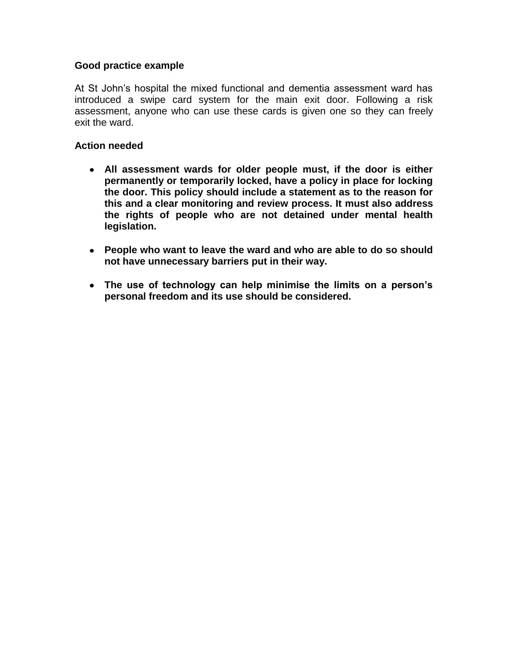## **Good practice example**

At St John"s hospital the mixed functional and dementia assessment ward has introduced a swipe card system for the main exit door. Following a risk assessment, anyone who can use these cards is given one so they can freely exit the ward.

- **All assessment wards for older people must, if the door is either permanently or temporarily locked, have a policy in place for locking the door. This policy should include a statement as to the reason for this and a clear monitoring and review process. It must also address the rights of people who are not detained under mental health legislation.**
- **People who want to leave the ward and who are able to do so should not have unnecessary barriers put in their way.**
- **The use of technology can help minimise the limits on a person's personal freedom and its use should be considered.**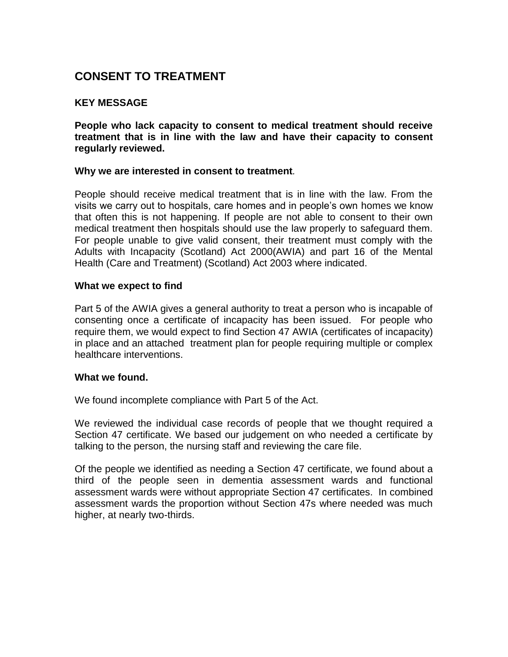## <span id="page-9-0"></span>**CONSENT TO TREATMENT**

## **KEY MESSAGE**

**People who lack capacity to consent to medical treatment should receive treatment that is in line with the law and have their capacity to consent regularly reviewed.**

## **Why we are interested in consent to treatment***.*

People should receive medical treatment that is in line with the law. From the visits we carry out to hospitals, care homes and in people"s own homes we know that often this is not happening. If people are not able to consent to their own medical treatment then hospitals should use the law properly to safeguard them. For people unable to give valid consent, their treatment must comply with the Adults with Incapacity (Scotland) Act 2000(AWIA) and part 16 of the Mental Health (Care and Treatment) (Scotland) Act 2003 where indicated.

## **What we expect to find**

Part 5 of the AWIA gives a general authority to treat a person who is incapable of consenting once a certificate of incapacity has been issued. For people who require them, we would expect to find Section 47 AWIA (certificates of incapacity) in place and an attached treatment plan for people requiring multiple or complex healthcare interventions.

## **What we found.**

We found incomplete compliance with Part 5 of the Act.

We reviewed the individual case records of people that we thought required a Section 47 certificate. We based our judgement on who needed a certificate by talking to the person, the nursing staff and reviewing the care file.

Of the people we identified as needing a Section 47 certificate, we found about a third of the people seen in dementia assessment wards and functional assessment wards were without appropriate Section 47 certificates. In combined assessment wards the proportion without Section 47s where needed was much higher, at nearly two-thirds.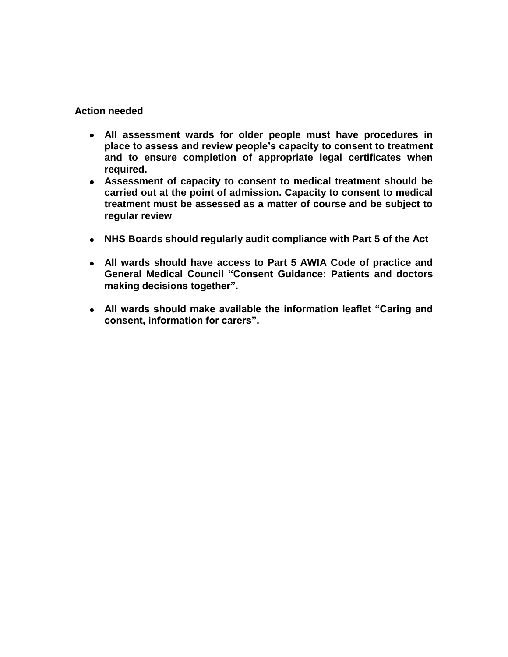- **All assessment wards for older people must have procedures in place to assess and review people's capacity to consent to treatment and to ensure completion of appropriate legal certificates when required.**
- **Assessment of capacity to consent to medical treatment should be carried out at the point of admission. Capacity to consent to medical treatment must be assessed as a matter of course and be subject to regular review**
- **NHS Boards should regularly audit compliance with Part 5 of the Act**
- **All wards should have access to Part 5 AWIA Code of practice and General Medical Council "Consent Guidance: Patients and doctors making decisions together".**
- **All wards should make available the information leaflet "Caring and consent, information for carers".**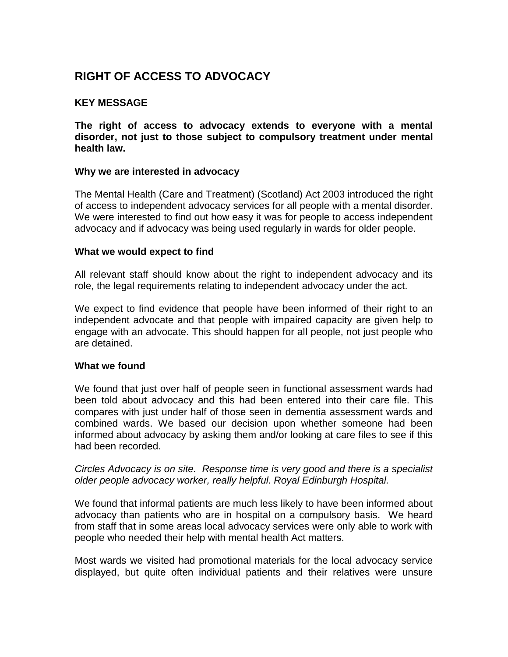## <span id="page-11-0"></span>**RIGHT OF ACCESS TO ADVOCACY**

## **KEY MESSAGE**

**The right of access to advocacy extends to everyone with a mental disorder, not just to those subject to compulsory treatment under mental health law.**

## **Why we are interested in advocacy**

The Mental Health (Care and Treatment) (Scotland) Act 2003 introduced the right of access to independent advocacy services for all people with a mental disorder. We were interested to find out how easy it was for people to access independent advocacy and if advocacy was being used regularly in wards for older people.

## **What we would expect to find**

All relevant staff should know about the right to independent advocacy and its role, the legal requirements relating to independent advocacy under the act.

We expect to find evidence that people have been informed of their right to an independent advocate and that people with impaired capacity are given help to engage with an advocate. This should happen for all people, not just people who are detained.

## **What we found**

We found that just over half of people seen in functional assessment wards had been told about advocacy and this had been entered into their care file. This compares with just under half of those seen in dementia assessment wards and combined wards. We based our decision upon whether someone had been informed about advocacy by asking them and/or looking at care files to see if this had been recorded.

## *Circles Advocacy is on site. Response time is very good and there is a specialist older people advocacy worker, really helpful. Royal Edinburgh Hospital.*

We found that informal patients are much less likely to have been informed about advocacy than patients who are in hospital on a compulsory basis. We heard from staff that in some areas local advocacy services were only able to work with people who needed their help with mental health Act matters.

Most wards we visited had promotional materials for the local advocacy service displayed, but quite often individual patients and their relatives were unsure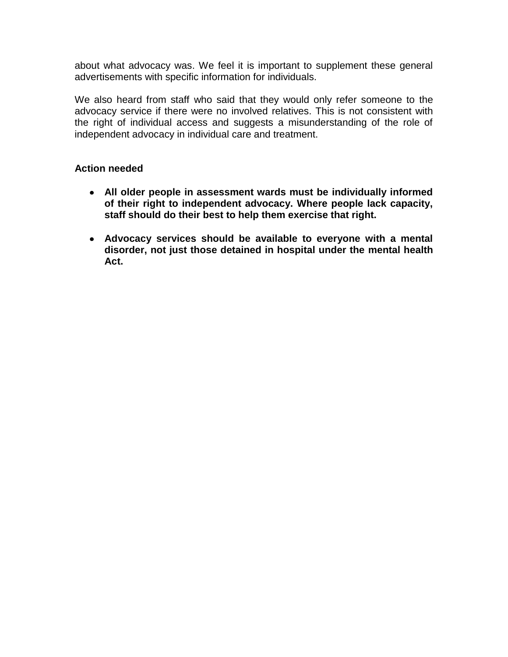about what advocacy was. We feel it is important to supplement these general advertisements with specific information for individuals.

We also heard from staff who said that they would only refer someone to the advocacy service if there were no involved relatives. This is not consistent with the right of individual access and suggests a misunderstanding of the role of independent advocacy in individual care and treatment.

- **All older people in assessment wards must be individually informed of their right to independent advocacy. Where people lack capacity, staff should do their best to help them exercise that right.**
- **Advocacy services should be available to everyone with a mental disorder, not just those detained in hospital under the mental health Act.**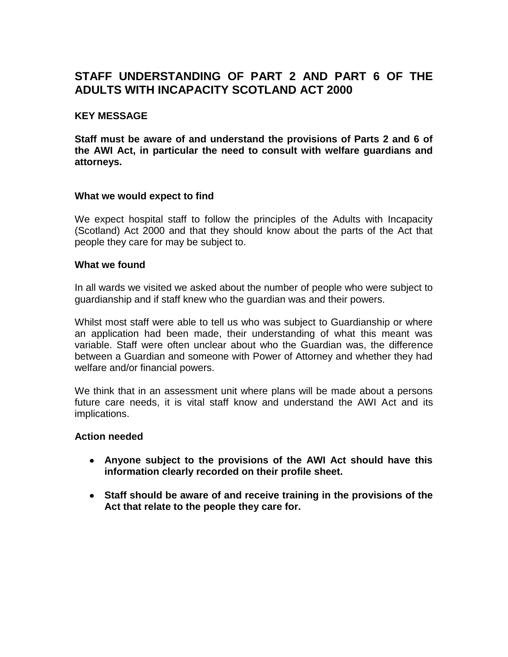## <span id="page-13-0"></span>**STAFF UNDERSTANDING OF PART 2 AND PART 6 OF THE ADULTS WITH INCAPACITY SCOTLAND ACT 2000**

## **KEY MESSAGE**

**Staff must be aware of and understand the provisions of Parts 2 and 6 of the AWI Act, in particular the need to consult with welfare guardians and attorneys.**

## **What we would expect to find**

We expect hospital staff to follow the principles of the Adults with Incapacity (Scotland) Act 2000 and that they should know about the parts of the Act that people they care for may be subject to.

#### **What we found**

In all wards we visited we asked about the number of people who were subject to guardianship and if staff knew who the guardian was and their powers.

Whilst most staff were able to tell us who was subject to Guardianship or where an application had been made, their understanding of what this meant was variable. Staff were often unclear about who the Guardian was, the difference between a Guardian and someone with Power of Attorney and whether they had welfare and/or financial powers.

We think that in an assessment unit where plans will be made about a persons future care needs, it is vital staff know and understand the AWI Act and its implications.

- **Anyone subject to the provisions of the AWI Act should have this information clearly recorded on their profile sheet.**
- **Staff should be aware of and receive training in the provisions of the Act that relate to the people they care for.**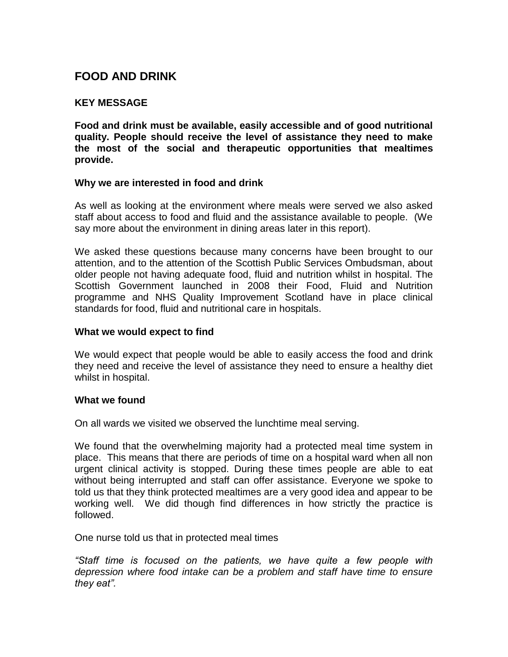## <span id="page-14-0"></span>**FOOD AND DRINK**

## **KEY MESSAGE**

**Food and drink must be available, easily accessible and of good nutritional quality. People should receive the level of assistance they need to make the most of the social and therapeutic opportunities that mealtimes provide.**

## **Why we are interested in food and drink**

As well as looking at the environment where meals were served we also asked staff about access to food and fluid and the assistance available to people. (We say more about the environment in dining areas later in this report).

We asked these questions because many concerns have been brought to our attention, and to the attention of the Scottish Public Services Ombudsman, about older people not having adequate food, fluid and nutrition whilst in hospital. The Scottish Government launched in 2008 their Food, Fluid and Nutrition programme and NHS Quality Improvement Scotland have in place clinical standards for food, fluid and nutritional care in hospitals.

## **What we would expect to find**

We would expect that people would be able to easily access the food and drink they need and receive the level of assistance they need to ensure a healthy diet whilst in hospital.

## **What we found**

On all wards we visited we observed the lunchtime meal serving.

We found that the overwhelming majority had a protected meal time system in place. This means that there are periods of time on a hospital ward when all non urgent clinical activity is stopped. During these times people are able to eat without being interrupted and staff can offer assistance. Everyone we spoke to told us that they think protected mealtimes are a very good idea and appear to be working well. We did though find differences in how strictly the practice is followed.

One nurse told us that in protected meal times

*"Staff time is focused on the patients, we have quite a few people with depression where food intake can be a problem and staff have time to ensure they eat".*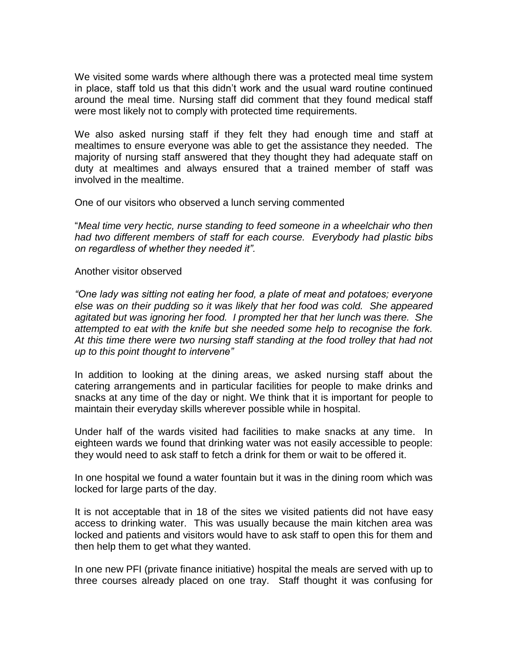We visited some wards where although there was a protected meal time system in place, staff told us that this didn"t work and the usual ward routine continued around the meal time. Nursing staff did comment that they found medical staff were most likely not to comply with protected time requirements.

We also asked nursing staff if they felt they had enough time and staff at mealtimes to ensure everyone was able to get the assistance they needed. The majority of nursing staff answered that they thought they had adequate staff on duty at mealtimes and always ensured that a trained member of staff was involved in the mealtime.

One of our visitors who observed a lunch serving commented

"*Meal time very hectic, nurse standing to feed someone in a wheelchair who then had two different members of staff for each course. Everybody had plastic bibs on regardless of whether they needed it".*

## Another visitor observed

*"One lady was sitting not eating her food, a plate of meat and potatoes; everyone else was on their pudding so it was likely that her food was cold. She appeared agitated but was ignoring her food. I prompted her that her lunch was there. She attempted to eat with the knife but she needed some help to recognise the fork. At this time there were two nursing staff standing at the food trolley that had not up to this point thought to intervene"*

In addition to looking at the dining areas, we asked nursing staff about the catering arrangements and in particular facilities for people to make drinks and snacks at any time of the day or night. We think that it is important for people to maintain their everyday skills wherever possible while in hospital.

Under half of the wards visited had facilities to make snacks at any time. In eighteen wards we found that drinking water was not easily accessible to people: they would need to ask staff to fetch a drink for them or wait to be offered it.

In one hospital we found a water fountain but it was in the dining room which was locked for large parts of the day.

It is not acceptable that in 18 of the sites we visited patients did not have easy access to drinking water. This was usually because the main kitchen area was locked and patients and visitors would have to ask staff to open this for them and then help them to get what they wanted.

In one new PFI (private finance initiative) hospital the meals are served with up to three courses already placed on one tray. Staff thought it was confusing for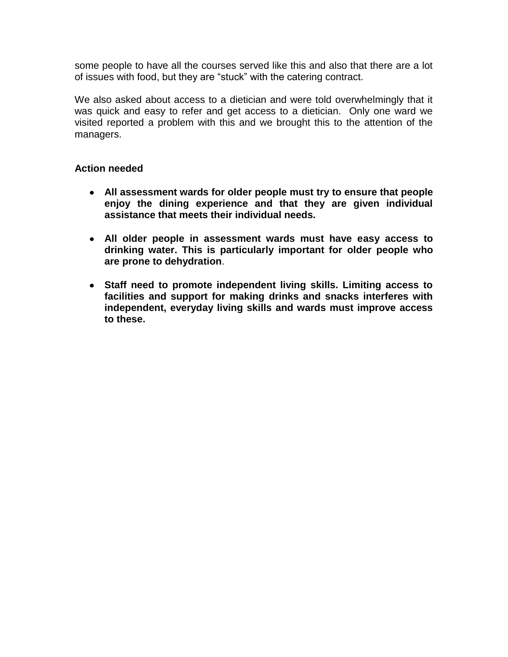some people to have all the courses served like this and also that there are a lot of issues with food, but they are "stuck" with the catering contract.

We also asked about access to a dietician and were told overwhelmingly that it was quick and easy to refer and get access to a dietician. Only one ward we visited reported a problem with this and we brought this to the attention of the managers.

- **All assessment wards for older people must try to ensure that people enjoy the dining experience and that they are given individual assistance that meets their individual needs.**
- **All older people in assessment wards must have easy access to drinking water. This is particularly important for older people who are prone to dehydration**.
- **Staff need to promote independent living skills. Limiting access to facilities and support for making drinks and snacks interferes with independent, everyday living skills and wards must improve access to these.**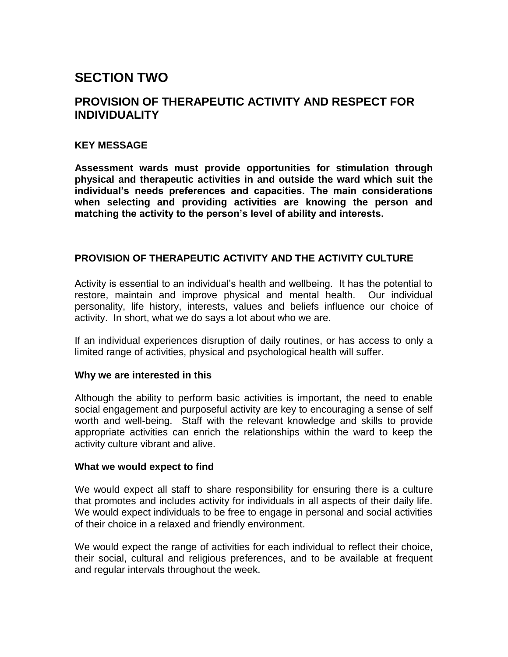# <span id="page-17-0"></span>**SECTION TWO**

## <span id="page-17-1"></span>**PROVISION OF THERAPEUTIC ACTIVITY AND RESPECT FOR INDIVIDUALITY**

## **KEY MESSAGE**

**Assessment wards must provide opportunities for stimulation through physical and therapeutic activities in and outside the ward which suit the individual's needs preferences and capacities. The main considerations when selecting and providing activities are knowing the person and matching the activity to the person's level of ability and interests.**

## <span id="page-17-2"></span>**PROVISION OF THERAPEUTIC ACTIVITY AND THE ACTIVITY CULTURE**

Activity is essential to an individual"s health and wellbeing. It has the potential to restore, maintain and improve physical and mental health. Our individual personality, life history, interests, values and beliefs influence our choice of activity. In short, what we do says a lot about who we are.

If an individual experiences disruption of daily routines, or has access to only a limited range of activities, physical and psychological health will suffer.

## **Why we are interested in this**

Although the ability to perform basic activities is important, the need to enable social engagement and purposeful activity are key to encouraging a sense of self worth and well-being. Staff with the relevant knowledge and skills to provide appropriate activities can enrich the relationships within the ward to keep the activity culture vibrant and alive.

## **What we would expect to find**

We would expect all staff to share responsibility for ensuring there is a culture that promotes and includes activity for individuals in all aspects of their daily life. We would expect individuals to be free to engage in personal and social activities of their choice in a relaxed and friendly environment.

We would expect the range of activities for each individual to reflect their choice, their social, cultural and religious preferences, and to be available at frequent and regular intervals throughout the week.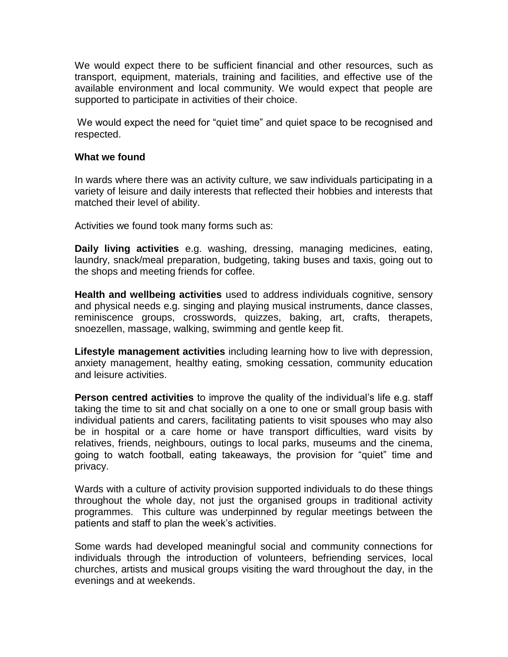We would expect there to be sufficient financial and other resources, such as transport, equipment, materials, training and facilities, and effective use of the available environment and local community. We would expect that people are supported to participate in activities of their choice.

We would expect the need for "quiet time" and quiet space to be recognised and respected.

## **What we found**

In wards where there was an activity culture, we saw individuals participating in a variety of leisure and daily interests that reflected their hobbies and interests that matched their level of ability.

Activities we found took many forms such as:

**Daily living activities** e.g. washing, dressing, managing medicines, eating, laundry, snack/meal preparation, budgeting, taking buses and taxis, going out to the shops and meeting friends for coffee.

**Health and wellbeing activities** used to address individuals cognitive, sensory and physical needs e.g. singing and playing musical instruments, dance classes, reminiscence groups, crosswords, quizzes, baking, art, crafts, therapets, snoezellen, massage, walking, swimming and gentle keep fit.

**Lifestyle management activities** including learning how to live with depression, anxiety management, healthy eating, smoking cessation, community education and leisure activities.

**Person centred activities** to improve the quality of the individual's life e.g. staff taking the time to sit and chat socially on a one to one or small group basis with individual patients and carers, facilitating patients to visit spouses who may also be in hospital or a care home or have transport difficulties, ward visits by relatives, friends, neighbours, outings to local parks, museums and the cinema, going to watch football, eating takeaways, the provision for "quiet" time and privacy.

Wards with a culture of activity provision supported individuals to do these things throughout the whole day, not just the organised groups in traditional activity programmes. This culture was underpinned by regular meetings between the patients and staff to plan the week"s activities.

Some wards had developed meaningful social and community connections for individuals through the introduction of volunteers, befriending services, local churches, artists and musical groups visiting the ward throughout the day, in the evenings and at weekends.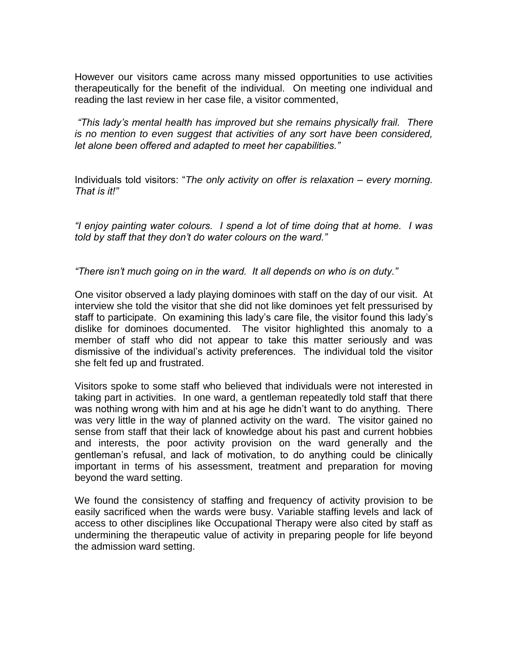However our visitors came across many missed opportunities to use activities therapeutically for the benefit of the individual. On meeting one individual and reading the last review in her case file, a visitor commented,

*"This lady's mental health has improved but she remains physically frail. There is no mention to even suggest that activities of any sort have been considered, let alone been offered and adapted to meet her capabilities."*

Individuals told visitors: "*The only activity on offer is relaxation – every morning. That is it!"* 

*"I enjoy painting water colours. I spend a lot of time doing that at home. I was told by staff that they don't do water colours on the ward."*

*"There isn't much going on in the ward. It all depends on who is on duty."*

One visitor observed a lady playing dominoes with staff on the day of our visit. At interview she told the visitor that she did not like dominoes yet felt pressurised by staff to participate. On examining this lady"s care file, the visitor found this lady"s dislike for dominoes documented. The visitor highlighted this anomaly to a member of staff who did not appear to take this matter seriously and was dismissive of the individual"s activity preferences. The individual told the visitor she felt fed up and frustrated.

Visitors spoke to some staff who believed that individuals were not interested in taking part in activities. In one ward, a gentleman repeatedly told staff that there was nothing wrong with him and at his age he didn"t want to do anything. There was very little in the way of planned activity on the ward. The visitor gained no sense from staff that their lack of knowledge about his past and current hobbies and interests, the poor activity provision on the ward generally and the gentleman"s refusal, and lack of motivation, to do anything could be clinically important in terms of his assessment, treatment and preparation for moving beyond the ward setting.

We found the consistency of staffing and frequency of activity provision to be easily sacrificed when the wards were busy. Variable staffing levels and lack of access to other disciplines like Occupational Therapy were also cited by staff as undermining the therapeutic value of activity in preparing people for life beyond the admission ward setting.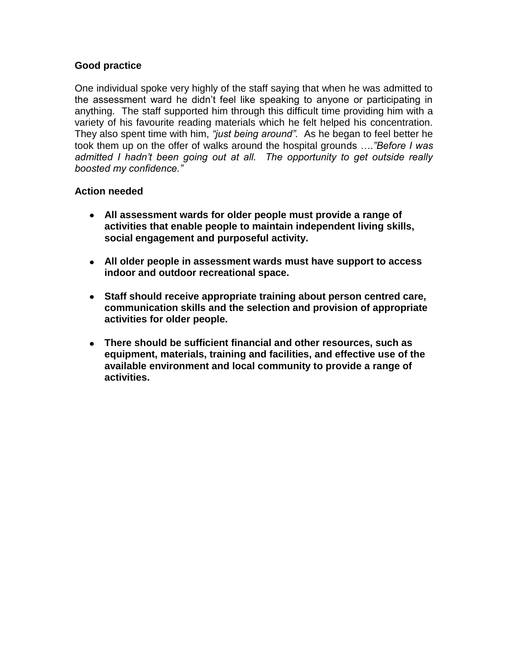## **Good practice**

One individual spoke very highly of the staff saying that when he was admitted to the assessment ward he didn"t feel like speaking to anyone or participating in anything. The staff supported him through this difficult time providing him with a variety of his favourite reading materials which he felt helped his concentration. They also spent time with him, *"just being around".* As he began to feel better he took them up on the offer of walks around the hospital grounds ….*"Before I was admitted I hadn't been going out at all. The opportunity to get outside really boosted my confidence."*

- **All assessment wards for older people must provide a range of activities that enable people to maintain independent living skills, social engagement and purposeful activity.**
- **All older people in assessment wards must have support to access indoor and outdoor recreational space.**
- **Staff should receive appropriate training about person centred care, communication skills and the selection and provision of appropriate activities for older people.**
- **There should be sufficient financial and other resources, such as equipment, materials, training and facilities, and effective use of the available environment and local community to provide a range of activities.**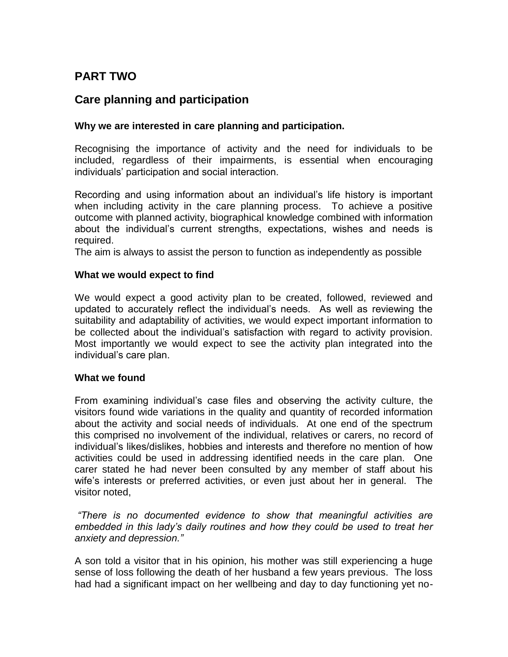## <span id="page-21-0"></span>**PART TWO**

## **Care planning and participation**

## **Why we are interested in care planning and participation.**

Recognising the importance of activity and the need for individuals to be included, regardless of their impairments, is essential when encouraging individuals" participation and social interaction.

Recording and using information about an individual"s life history is important when including activity in the care planning process. To achieve a positive outcome with planned activity, biographical knowledge combined with information about the individual"s current strengths, expectations, wishes and needs is required.

The aim is always to assist the person to function as independently as possible

## **What we would expect to find**

We would expect a good activity plan to be created, followed, reviewed and updated to accurately reflect the individual"s needs. As well as reviewing the suitability and adaptability of activities, we would expect important information to be collected about the individual"s satisfaction with regard to activity provision. Most importantly we would expect to see the activity plan integrated into the individual"s care plan.

## **What we found**

From examining individual"s case files and observing the activity culture, the visitors found wide variations in the quality and quantity of recorded information about the activity and social needs of individuals. At one end of the spectrum this comprised no involvement of the individual, relatives or carers, no record of individual"s likes/dislikes, hobbies and interests and therefore no mention of how activities could be used in addressing identified needs in the care plan. One carer stated he had never been consulted by any member of staff about his wife"s interests or preferred activities, or even just about her in general. The visitor noted,

*"There is no documented evidence to show that meaningful activities are embedded in this lady's daily routines and how they could be used to treat her anxiety and depression."*

A son told a visitor that in his opinion, his mother was still experiencing a huge sense of loss following the death of her husband a few years previous. The loss had had a significant impact on her wellbeing and day to day functioning yet no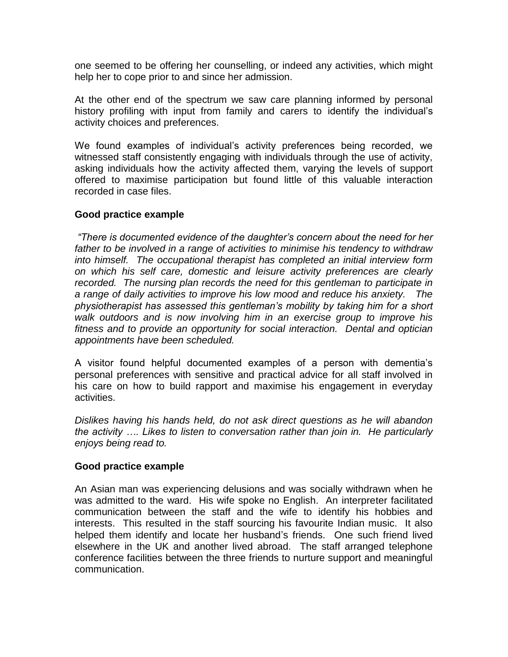one seemed to be offering her counselling, or indeed any activities, which might help her to cope prior to and since her admission.

At the other end of the spectrum we saw care planning informed by personal history profiling with input from family and carers to identify the individual"s activity choices and preferences.

We found examples of individual's activity preferences being recorded, we witnessed staff consistently engaging with individuals through the use of activity, asking individuals how the activity affected them, varying the levels of support offered to maximise participation but found little of this valuable interaction recorded in case files.

## **Good practice example**

*"There is documented evidence of the daughter's concern about the need for her father to be involved in a range of activities to minimise his tendency to withdraw into himself. The occupational therapist has completed an initial interview form on which his self care, domestic and leisure activity preferences are clearly recorded. The nursing plan records the need for this gentleman to participate in a range of daily activities to improve his low mood and reduce his anxiety. The physiotherapist has assessed this gentleman's mobility by taking him for a short walk outdoors and is now involving him in an exercise group to improve his fitness and to provide an opportunity for social interaction. Dental and optician appointments have been scheduled.*

A visitor found helpful documented examples of a person with dementia"s personal preferences with sensitive and practical advice for all staff involved in his care on how to build rapport and maximise his engagement in everyday activities.

*Dislikes having his hands held, do not ask direct questions as he will abandon the activity …. Likes to listen to conversation rather than join in. He particularly enjoys being read to.*

## **Good practice example**

An Asian man was experiencing delusions and was socially withdrawn when he was admitted to the ward. His wife spoke no English. An interpreter facilitated communication between the staff and the wife to identify his hobbies and interests. This resulted in the staff sourcing his favourite Indian music. It also helped them identify and locate her husband"s friends. One such friend lived elsewhere in the UK and another lived abroad. The staff arranged telephone conference facilities between the three friends to nurture support and meaningful communication.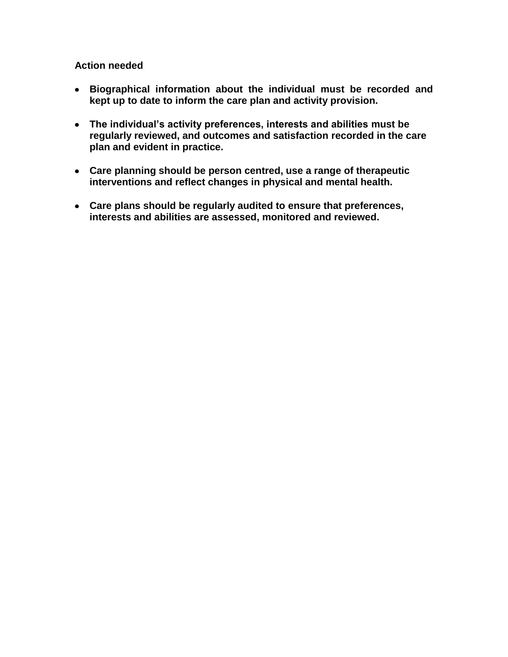- **Biographical information about the individual must be recorded and kept up to date to inform the care plan and activity provision.**
- **The individual's activity preferences, interests and abilities must be regularly reviewed, and outcomes and satisfaction recorded in the care plan and evident in practice.**
- **Care planning should be person centred, use a range of therapeutic interventions and reflect changes in physical and mental health.**
- **Care plans should be regularly audited to ensure that preferences, interests and abilities are assessed, monitored and reviewed.**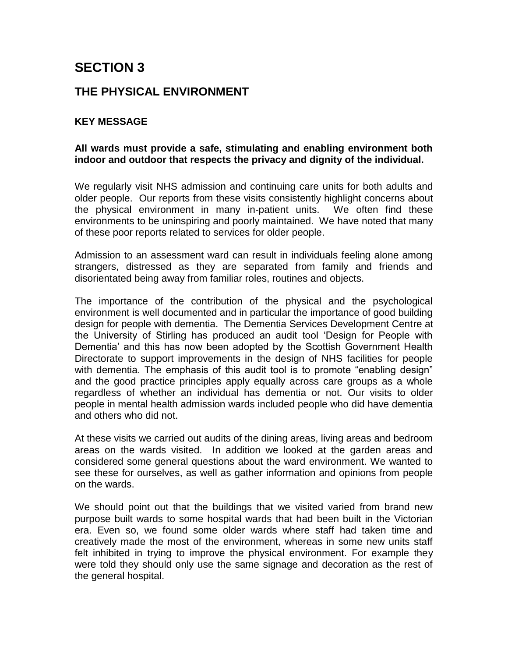# <span id="page-24-0"></span>**SECTION 3**

## <span id="page-24-1"></span>**THE PHYSICAL ENVIRONMENT**

## **KEY MESSAGE**

## **All wards must provide a safe, stimulating and enabling environment both indoor and outdoor that respects the privacy and dignity of the individual.**

We regularly visit NHS admission and continuing care units for both adults and older people. Our reports from these visits consistently highlight concerns about the physical environment in many in-patient units. We often find these environments to be uninspiring and poorly maintained. We have noted that many of these poor reports related to services for older people.

Admission to an assessment ward can result in individuals feeling alone among strangers, distressed as they are separated from family and friends and disorientated being away from familiar roles, routines and objects.

The importance of the contribution of the physical and the psychological environment is well documented and in particular the importance of good building design for people with dementia. The Dementia Services Development Centre at the University of Stirling has produced an audit tool "Design for People with Dementia" and this has now been adopted by the Scottish Government Health Directorate to support improvements in the design of NHS facilities for people with dementia. The emphasis of this audit tool is to promote "enabling design" and the good practice principles apply equally across care groups as a whole regardless of whether an individual has dementia or not. Our visits to older people in mental health admission wards included people who did have dementia and others who did not.

At these visits we carried out audits of the dining areas, living areas and bedroom areas on the wards visited. In addition we looked at the garden areas and considered some general questions about the ward environment. We wanted to see these for ourselves, as well as gather information and opinions from people on the wards.

We should point out that the buildings that we visited varied from brand new purpose built wards to some hospital wards that had been built in the Victorian era. Even so, we found some older wards where staff had taken time and creatively made the most of the environment, whereas in some new units staff felt inhibited in trying to improve the physical environment. For example they were told they should only use the same signage and decoration as the rest of the general hospital.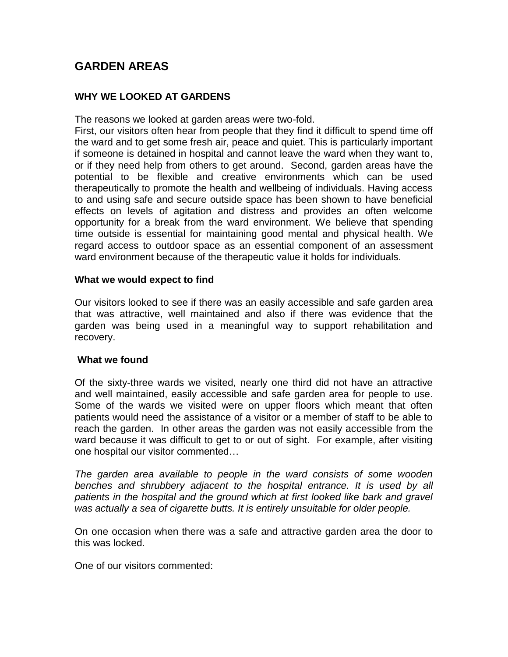## <span id="page-25-0"></span>**GARDEN AREAS**

## **WHY WE LOOKED AT GARDENS**

The reasons we looked at garden areas were two-fold.

First, our visitors often hear from people that they find it difficult to spend time off the ward and to get some fresh air, peace and quiet. This is particularly important if someone is detained in hospital and cannot leave the ward when they want to, or if they need help from others to get around. Second, garden areas have the potential to be flexible and creative environments which can be used therapeutically to promote the health and wellbeing of individuals. Having access to and using safe and secure outside space has been shown to have beneficial effects on levels of agitation and distress and provides an often welcome opportunity for a break from the ward environment. We believe that spending time outside is essential for maintaining good mental and physical health. We regard access to outdoor space as an essential component of an assessment ward environment because of the therapeutic value it holds for individuals.

## **What we would expect to find**

Our visitors looked to see if there was an easily accessible and safe garden area that was attractive, well maintained and also if there was evidence that the garden was being used in a meaningful way to support rehabilitation and recovery.

## **What we found**

Of the sixty-three wards we visited, nearly one third did not have an attractive and well maintained, easily accessible and safe garden area for people to use. Some of the wards we visited were on upper floors which meant that often patients would need the assistance of a visitor or a member of staff to be able to reach the garden. In other areas the garden was not easily accessible from the ward because it was difficult to get to or out of sight. For example, after visiting one hospital our visitor commented…

*The garden area available to people in the ward consists of some wooden*  benches and shrubbery adjacent to the hospital entrance. It is used by all *patients in the hospital and the ground which at first looked like bark and gravel was actually a sea of cigarette butts. It is entirely unsuitable for older people.*

On one occasion when there was a safe and attractive garden area the door to this was locked.

One of our visitors commented: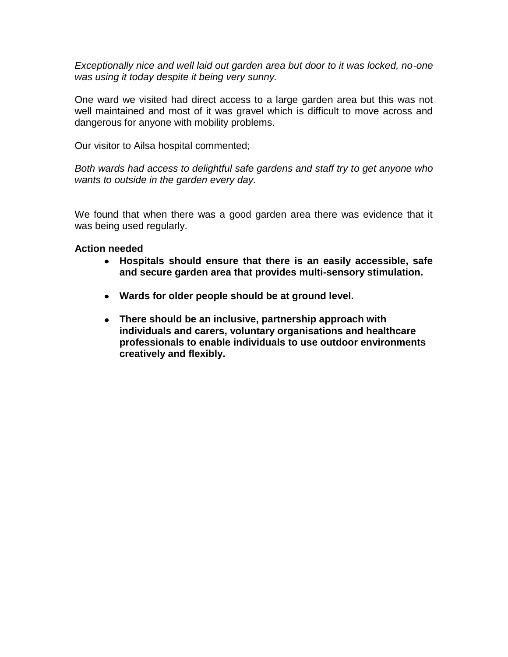*Exceptionally nice and well laid out garden area but door to it was locked, no-one was using it today despite it being very sunny.*

One ward we visited had direct access to a large garden area but this was not well maintained and most of it was gravel which is difficult to move across and dangerous for anyone with mobility problems.

Our visitor to Ailsa hospital commented;

*Both wards had access to delightful safe gardens and staff try to get anyone who wants to outside in the garden every day.*

We found that when there was a good garden area there was evidence that it was being used regularly.

- **Hospitals should ensure that there is an easily accessible, safe and secure garden area that provides multi-sensory stimulation.**
- **Wards for older people should be at ground level.**
- **There should be an inclusive, partnership approach with individuals and carers, voluntary organisations and healthcare professionals to enable individuals to use outdoor environments creatively and flexibly.**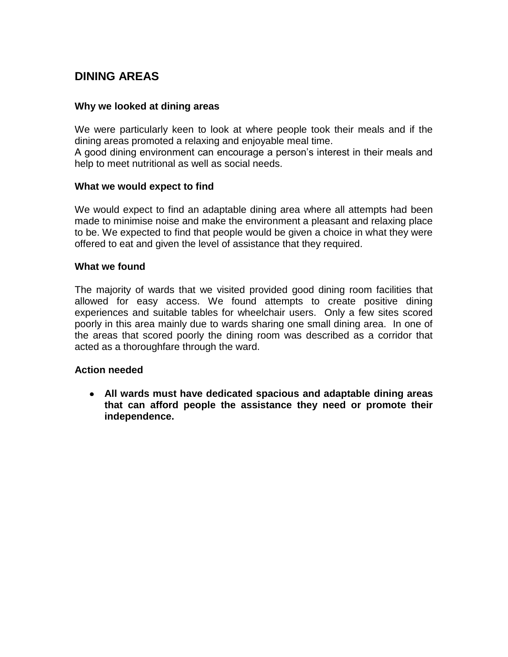## <span id="page-27-0"></span>**DINING AREAS**

## **Why we looked at dining areas**

We were particularly keen to look at where people took their meals and if the dining areas promoted a relaxing and enjoyable meal time.

A good dining environment can encourage a person"s interest in their meals and help to meet nutritional as well as social needs.

## **What we would expect to find**

We would expect to find an adaptable dining area where all attempts had been made to minimise noise and make the environment a pleasant and relaxing place to be. We expected to find that people would be given a choice in what they were offered to eat and given the level of assistance that they required.

## **What we found**

The majority of wards that we visited provided good dining room facilities that allowed for easy access. We found attempts to create positive dining experiences and suitable tables for wheelchair users. Only a few sites scored poorly in this area mainly due to wards sharing one small dining area. In one of the areas that scored poorly the dining room was described as a corridor that acted as a thoroughfare through the ward.

## **Action needed**

**All wards must have dedicated spacious and adaptable dining areas that can afford people the assistance they need or promote their independence.**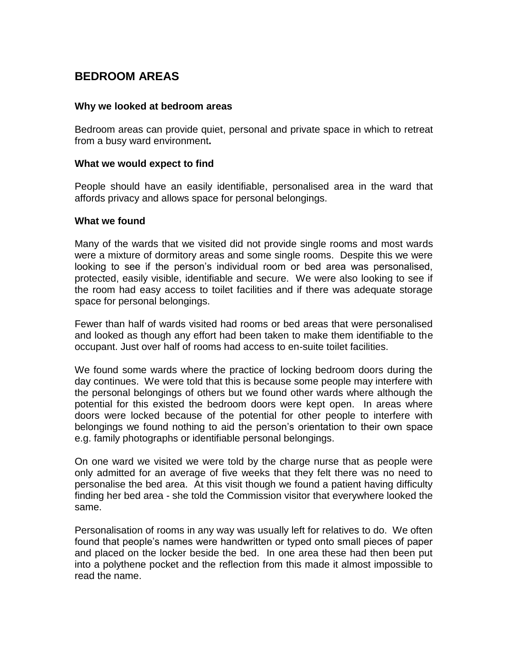## <span id="page-28-0"></span>**BEDROOM AREAS**

## **Why we looked at bedroom areas**

Bedroom areas can provide quiet, personal and private space in which to retreat from a busy ward environment**.**

## **What we would expect to find**

People should have an easily identifiable, personalised area in the ward that affords privacy and allows space for personal belongings.

## **What we found**

Many of the wards that we visited did not provide single rooms and most wards were a mixture of dormitory areas and some single rooms. Despite this we were looking to see if the person"s individual room or bed area was personalised, protected, easily visible, identifiable and secure. We were also looking to see if the room had easy access to toilet facilities and if there was adequate storage space for personal belongings.

Fewer than half of wards visited had rooms or bed areas that were personalised and looked as though any effort had been taken to make them identifiable to the occupant. Just over half of rooms had access to en-suite toilet facilities.

We found some wards where the practice of locking bedroom doors during the day continues. We were told that this is because some people may interfere with the personal belongings of others but we found other wards where although the potential for this existed the bedroom doors were kept open. In areas where doors were locked because of the potential for other people to interfere with belongings we found nothing to aid the person"s orientation to their own space e.g. family photographs or identifiable personal belongings.

On one ward we visited we were told by the charge nurse that as people were only admitted for an average of five weeks that they felt there was no need to personalise the bed area. At this visit though we found a patient having difficulty finding her bed area - she told the Commission visitor that everywhere looked the same.

Personalisation of rooms in any way was usually left for relatives to do. We often found that people"s names were handwritten or typed onto small pieces of paper and placed on the locker beside the bed. In one area these had then been put into a polythene pocket and the reflection from this made it almost impossible to read the name.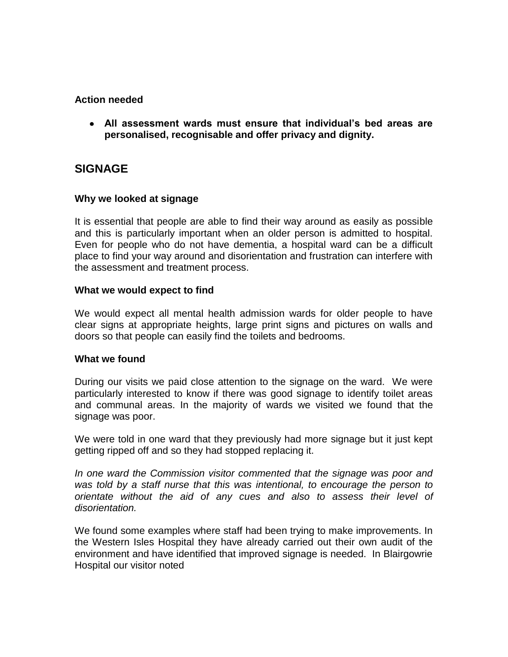## **Action needed**

**All assessment wards must ensure that individual's bed areas are personalised, recognisable and offer privacy and dignity.**

## <span id="page-29-0"></span>**SIGNAGE**

## **Why we looked at signage**

It is essential that people are able to find their way around as easily as possible and this is particularly important when an older person is admitted to hospital. Even for people who do not have dementia, a hospital ward can be a difficult place to find your way around and disorientation and frustration can interfere with the assessment and treatment process.

## **What we would expect to find**

We would expect all mental health admission wards for older people to have clear signs at appropriate heights, large print signs and pictures on walls and doors so that people can easily find the toilets and bedrooms.

## **What we found**

During our visits we paid close attention to the signage on the ward. We were particularly interested to know if there was good signage to identify toilet areas and communal areas. In the majority of wards we visited we found that the signage was poor.

We were told in one ward that they previously had more signage but it just kept getting ripped off and so they had stopped replacing it.

*In one ward the Commission visitor commented that the signage was poor and was told by a staff nurse that this was intentional, to encourage the person to orientate without the aid of any cues and also to assess their level of disorientation.*

We found some examples where staff had been trying to make improvements. In the Western Isles Hospital they have already carried out their own audit of the environment and have identified that improved signage is needed. In Blairgowrie Hospital our visitor noted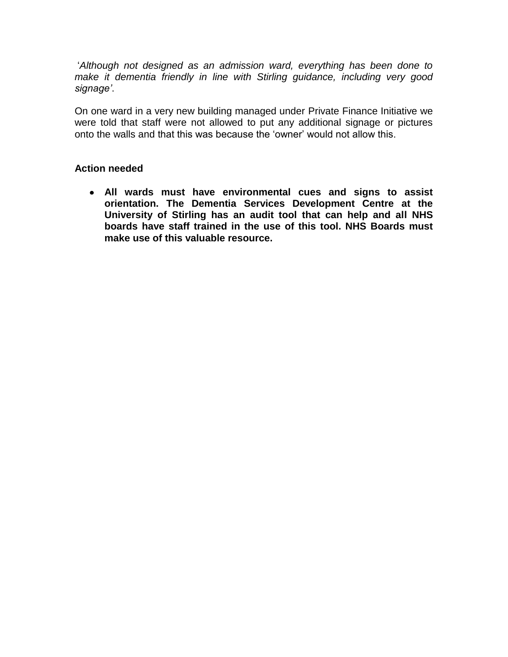"*Although not designed as an admission ward, everything has been done to make it dementia friendly in line with Stirling guidance, including very good signage'*.

On one ward in a very new building managed under Private Finance Initiative we were told that staff were not allowed to put any additional signage or pictures onto the walls and that this was because the "owner" would not allow this.

## **Action needed**

**All wards must have environmental cues and signs to assist orientation. The Dementia Services Development Centre at the University of Stirling has an audit tool that can help and all NHS boards have staff trained in the use of this tool. NHS Boards must make use of this valuable resource.**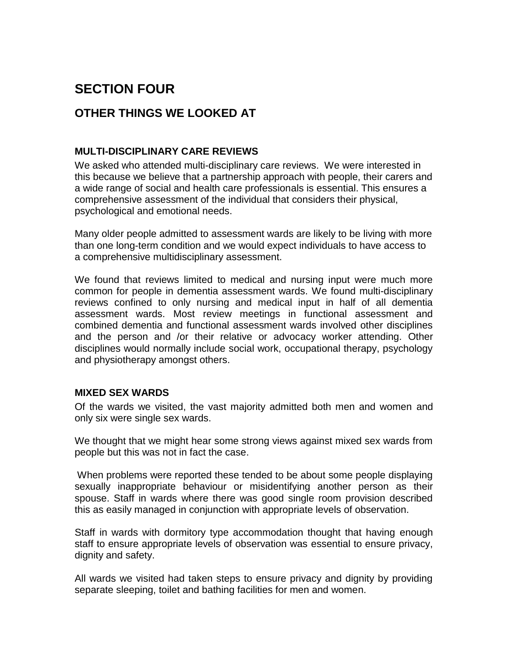# <span id="page-31-0"></span>**SECTION FOUR**

## <span id="page-31-1"></span>**OTHER THINGS WE LOOKED AT**

## <span id="page-31-2"></span>**MULTI-DISCIPLINARY CARE REVIEWS**

We asked who attended multi-disciplinary care reviews. We were interested in this because we believe that a partnership approach with people, their carers and a wide range of social and health care professionals is essential. This ensures a comprehensive assessment of the individual that considers their physical, psychological and emotional needs.

Many older people admitted to assessment wards are likely to be living with more than one long-term condition and we would expect individuals to have access to a comprehensive multidisciplinary assessment.

We found that reviews limited to medical and nursing input were much more common for people in dementia assessment wards. We found multi-disciplinary reviews confined to only nursing and medical input in half of all dementia assessment wards. Most review meetings in functional assessment and combined dementia and functional assessment wards involved other disciplines and the person and /or their relative or advocacy worker attending. Other disciplines would normally include social work, occupational therapy, psychology and physiotherapy amongst others.

## <span id="page-31-3"></span>**MIXED SEX WARDS**

Of the wards we visited, the vast majority admitted both men and women and only six were single sex wards.

We thought that we might hear some strong views against mixed sex wards from people but this was not in fact the case.

When problems were reported these tended to be about some people displaying sexually inappropriate behaviour or misidentifying another person as their spouse. Staff in wards where there was good single room provision described this as easily managed in conjunction with appropriate levels of observation.

Staff in wards with dormitory type accommodation thought that having enough staff to ensure appropriate levels of observation was essential to ensure privacy, dignity and safety.

All wards we visited had taken steps to ensure privacy and dignity by providing separate sleeping, toilet and bathing facilities for men and women.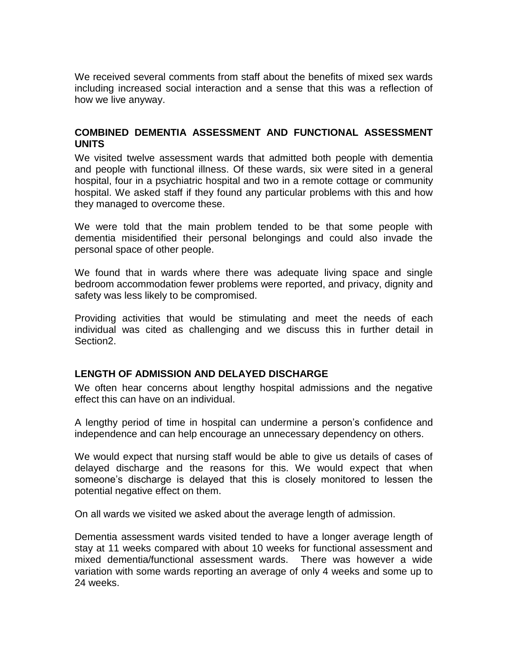We received several comments from staff about the benefits of mixed sex wards including increased social interaction and a sense that this was a reflection of how we live anyway.

## <span id="page-32-0"></span>**COMBINED DEMENTIA ASSESSMENT AND FUNCTIONAL ASSESSMENT UNITS**

We visited twelve assessment wards that admitted both people with dementia and people with functional illness. Of these wards, six were sited in a general hospital, four in a psychiatric hospital and two in a remote cottage or community hospital. We asked staff if they found any particular problems with this and how they managed to overcome these.

We were told that the main problem tended to be that some people with dementia misidentified their personal belongings and could also invade the personal space of other people.

We found that in wards where there was adequate living space and single bedroom accommodation fewer problems were reported, and privacy, dignity and safety was less likely to be compromised.

Providing activities that would be stimulating and meet the needs of each individual was cited as challenging and we discuss this in further detail in Section2.

## **LENGTH OF ADMISSION AND DELAYED DISCHARGE**

We often hear concerns about lengthy hospital admissions and the negative effect this can have on an individual.

A lengthy period of time in hospital can undermine a person"s confidence and independence and can help encourage an unnecessary dependency on others.

We would expect that nursing staff would be able to give us details of cases of delayed discharge and the reasons for this. We would expect that when someone's discharge is delayed that this is closely monitored to lessen the potential negative effect on them.

On all wards we visited we asked about the average length of admission.

Dementia assessment wards visited tended to have a longer average length of stay at 11 weeks compared with about 10 weeks for functional assessment and mixed dementia/functional assessment wards. There was however a wide variation with some wards reporting an average of only 4 weeks and some up to 24 weeks.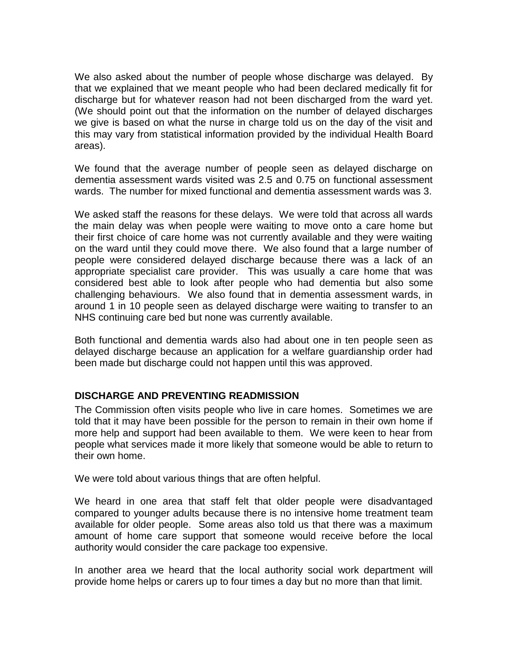We also asked about the number of people whose discharge was delayed. By that we explained that we meant people who had been declared medically fit for discharge but for whatever reason had not been discharged from the ward yet. (We should point out that the information on the number of delayed discharges we give is based on what the nurse in charge told us on the day of the visit and this may vary from statistical information provided by the individual Health Board areas).

We found that the average number of people seen as delayed discharge on dementia assessment wards visited was 2.5 and 0.75 on functional assessment wards. The number for mixed functional and dementia assessment wards was 3.

We asked staff the reasons for these delays. We were told that across all wards the main delay was when people were waiting to move onto a care home but their first choice of care home was not currently available and they were waiting on the ward until they could move there. We also found that a large number of people were considered delayed discharge because there was a lack of an appropriate specialist care provider. This was usually a care home that was considered best able to look after people who had dementia but also some challenging behaviours. We also found that in dementia assessment wards, in around 1 in 10 people seen as delayed discharge were waiting to transfer to an NHS continuing care bed but none was currently available.

Both functional and dementia wards also had about one in ten people seen as delayed discharge because an application for a welfare guardianship order had been made but discharge could not happen until this was approved.

## <span id="page-33-0"></span>**DISCHARGE AND PREVENTING READMISSION**

The Commission often visits people who live in care homes. Sometimes we are told that it may have been possible for the person to remain in their own home if more help and support had been available to them. We were keen to hear from people what services made it more likely that someone would be able to return to their own home.

We were told about various things that are often helpful.

We heard in one area that staff felt that older people were disadvantaged compared to younger adults because there is no intensive home treatment team available for older people. Some areas also told us that there was a maximum amount of home care support that someone would receive before the local authority would consider the care package too expensive.

In another area we heard that the local authority social work department will provide home helps or carers up to four times a day but no more than that limit.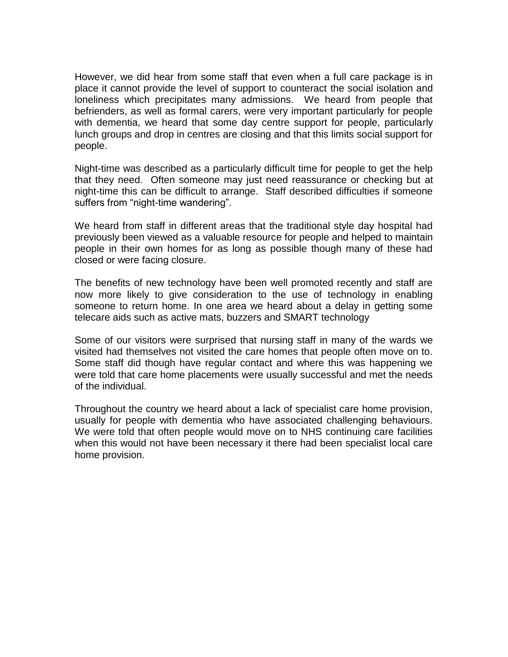However, we did hear from some staff that even when a full care package is in place it cannot provide the level of support to counteract the social isolation and loneliness which precipitates many admissions. We heard from people that befrienders, as well as formal carers, were very important particularly for people with dementia, we heard that some day centre support for people, particularly lunch groups and drop in centres are closing and that this limits social support for people.

Night-time was described as a particularly difficult time for people to get the help that they need. Often someone may just need reassurance or checking but at night-time this can be difficult to arrange. Staff described difficulties if someone suffers from "night-time wandering".

We heard from staff in different areas that the traditional style day hospital had previously been viewed as a valuable resource for people and helped to maintain people in their own homes for as long as possible though many of these had closed or were facing closure.

The benefits of new technology have been well promoted recently and staff are now more likely to give consideration to the use of technology in enabling someone to return home. In one area we heard about a delay in getting some telecare aids such as active mats, buzzers and SMART technology

Some of our visitors were surprised that nursing staff in many of the wards we visited had themselves not visited the care homes that people often move on to. Some staff did though have regular contact and where this was happening we were told that care home placements were usually successful and met the needs of the individual.

Throughout the country we heard about a lack of specialist care home provision, usually for people with dementia who have associated challenging behaviours. We were told that often people would move on to NHS continuing care facilities when this would not have been necessary it there had been specialist local care home provision.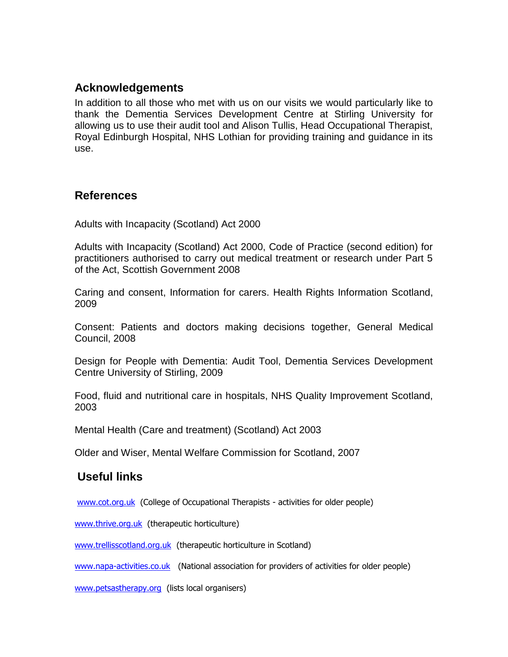## <span id="page-35-0"></span>**Acknowledgements**

In addition to all those who met with us on our visits we would particularly like to thank the Dementia Services Development Centre at Stirling University for allowing us to use their audit tool and Alison Tullis, Head Occupational Therapist, Royal Edinburgh Hospital, NHS Lothian for providing training and guidance in its use.

## <span id="page-35-1"></span>**References**

Adults with Incapacity (Scotland) Act 2000

Adults with Incapacity (Scotland) Act 2000, Code of Practice (second edition) for practitioners authorised to carry out medical treatment or research under Part 5 of the Act, Scottish Government 2008

Caring and consent, Information for carers. Health Rights Information Scotland, 2009

Consent: Patients and doctors making decisions together, General Medical Council, 2008

Design for People with Dementia: Audit Tool, Dementia Services Development Centre University of Stirling, 2009

Food, fluid and nutritional care in hospitals, NHS Quality Improvement Scotland, 2003

Mental Health (Care and treatment) (Scotland) Act 2003

Older and Wiser, Mental Welfare Commission for Scotland, 2007

## **Useful links**

[www.cot.org.uk](http://www.cot.org.uk/) (College of Occupational Therapists - activities for older people)

[www.thrive.org.uk](http://www.thrive.org.uk/) (therapeutic horticulture)

[www.trellisscotland.org.uk](http://www.trellisscotland.org.uk/) (therapeutic horticulture in Scotland)

[www.napa-activities.co.uk](http://www.napa-activities.co.uk/) (National association for providers of activities for older people)

[www.petsastherapy.org](http://www.petsastherapy.org/) (lists local organisers)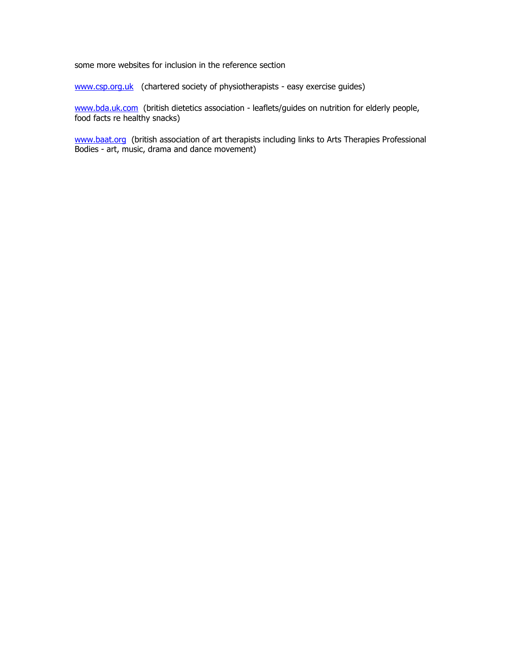some more websites for inclusion in the reference section

[www.csp.org.uk](http://www.csp.org.uk/) (chartered society of physiotherapists - easy exercise guides)

[www.bda.uk.com](http://www.bda.uk.com/) (british dietetics association - leaflets/guides on nutrition for elderly people, food facts re healthy snacks)

[www.baat.org](http://www.baat.org/) (british association of art therapists including links to Arts Therapies Professional Bodies - art, music, drama and dance movement)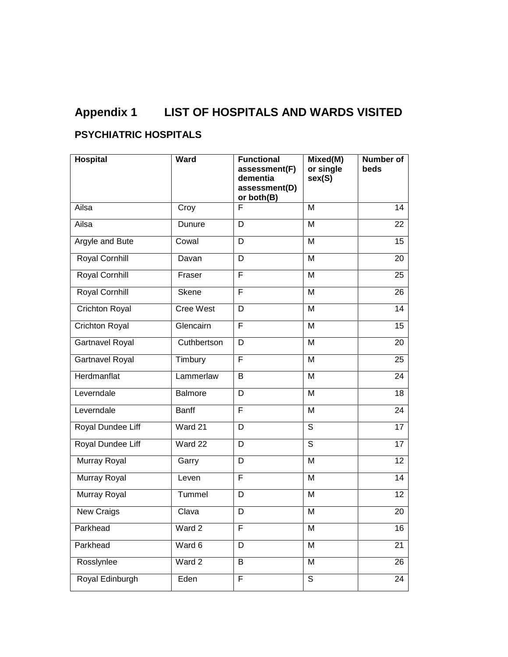# **Appendix 1 LIST OF HOSPITALS AND WARDS VISITED**

## <span id="page-37-0"></span>**PSYCHIATRIC HOSPITALS**

| <b>Hospital</b>        | <b>Ward</b>      | <b>Functional</b><br>assessment(F)<br>dementia<br>assessment(D)<br>or both(B) | Mixed(M)<br>or single<br>sex(S) | Number of<br>beds |
|------------------------|------------------|-------------------------------------------------------------------------------|---------------------------------|-------------------|
| Ailsa                  | Croy             | F                                                                             | M                               | 14                |
| Ailsa                  | Dunure           | D                                                                             | M                               | 22                |
| <b>Argyle and Bute</b> | Cowal            | D                                                                             | M                               | $\overline{15}$   |
| <b>Royal Cornhill</b>  | Davan            | D                                                                             | M                               | 20                |
| Royal Cornhill         | Fraser           | F                                                                             | M                               | 25                |
| <b>Royal Cornhill</b>  | <b>Skene</b>     | F                                                                             | M                               | 26                |
| <b>Crichton Royal</b>  | <b>Cree West</b> | D                                                                             | M                               | 14                |
| <b>Crichton Royal</b>  | Glencairn        | F                                                                             | M                               | 15                |
| Gartnavel Royal        | Cuthbertson      | D                                                                             | M                               | 20                |
| Gartnavel Royal        | Timbury          | F                                                                             | M                               | 25                |
| Herdmanflat            | Lammerlaw        | B                                                                             | M                               | 24                |
| Leverndale             | <b>Balmore</b>   | D                                                                             | M                               | 18                |
| Leverndale             | <b>Banff</b>     | F                                                                             | M                               | 24                |
| Royal Dundee Liff      | Ward 21          | D                                                                             | $\overline{s}$                  | 17                |
| Royal Dundee Liff      | $\sqrt{Vard}$ 22 | D                                                                             | $\overline{s}$                  | 17                |
| Murray Royal           | Garry            | D                                                                             | M                               | 12                |
| Murray Royal           | Leven            | F                                                                             | M                               | 14                |
| <b>Murray Royal</b>    | Tummel           | D                                                                             | M                               | 12                |
| New Craigs             | Clava            | D                                                                             | M                               | 20                |
| Parkhead               | Ward 2           | F                                                                             | M                               | 16                |
| Parkhead               | Ward 6           | D                                                                             | M                               | 21                |
| Rosslynlee             | Ward 2           | B                                                                             | M                               | 26                |
| Royal Edinburgh        | Eden             | F                                                                             | $\overline{s}$                  | 24                |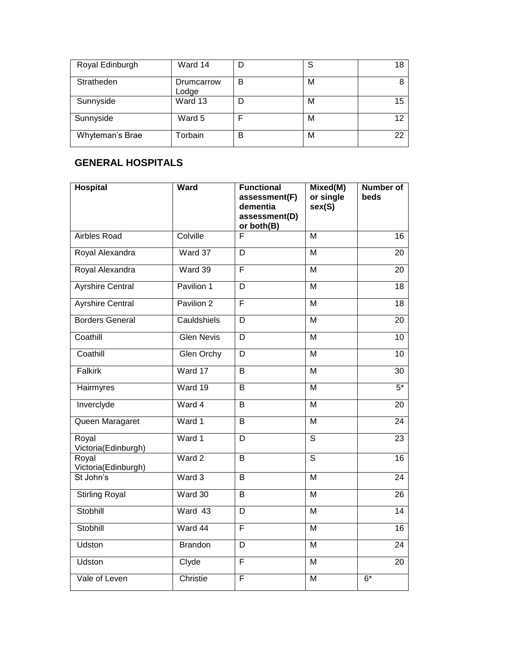| Royal Edinburgh | Ward 14             |   | ິ<br>o | 18 |
|-----------------|---------------------|---|--------|----|
| Stratheden      | Drumcarrow<br>Lodge | B | M      | 8  |
| Sunnyside       | Ward 13             |   | М      | 15 |
| Sunnyside       | Ward 5              |   | М      | 12 |
| Whyteman's Brae | Torbain             | B | М      | 22 |

## <span id="page-38-0"></span>**GENERAL HOSPITALS**

| <b>Hospital</b>              | Ward              | <b>Functional</b><br>assessment(F)<br>dementia<br>assessment(D)<br>or both(B) | Mixed(M)<br>or single<br>sex(S) | <b>Number of</b><br>beds |
|------------------------------|-------------------|-------------------------------------------------------------------------------|---------------------------------|--------------------------|
| <b>Airbles Road</b>          | Colville          | F                                                                             | $\overline{M}$                  | 16                       |
| Royal Alexandra              | Ward 37           | D                                                                             | M                               | 20                       |
| Royal Alexandra              | Ward 39           | F                                                                             | $\overline{M}$                  | 20                       |
| <b>Ayrshire Central</b>      | Pavilion 1        | D                                                                             | M                               | 18                       |
| <b>Ayrshire Central</b>      | Pavilion 2        | F                                                                             | M                               | $\overline{18}$          |
| <b>Borders General</b>       | Cauldshiels       | $\overline{D}$                                                                | $\overline{M}$                  | $\overline{20}$          |
| Coathill                     | <b>Glen Nevis</b> | $\overline{D}$                                                                | $\overline{M}$                  | 10                       |
| Coathill                     | <b>Glen Orchy</b> | $\overline{\mathsf{D}}$                                                       | M                               | $\overline{10}$          |
| <b>Falkirk</b>               | Ward 17           | $\overline{B}$                                                                | M                               | $\overline{30}$          |
| Hairmyres                    | Ward 19           | $\overline{B}$                                                                | $\overline{M}$                  | $5*$                     |
| Inverclyde                   | Ward 4            | $\overline{B}$                                                                | $\overline{M}$                  | $\overline{20}$          |
| Queen Maragaret              | Ward 1            | $\overline{B}$                                                                | $\overline{M}$                  | 24                       |
| Royal<br>Victoria(Edinburgh) | Ward 1            | D                                                                             | $\overline{s}$                  | 23                       |
| Royal<br>Victoria(Edinburgh) | Ward 2            | $\overline{B}$                                                                | $\overline{s}$                  | 16                       |
| St John's                    | Ward 3            | B                                                                             | M                               | 24                       |
| <b>Stirling Royal</b>        | Ward 30           | $\overline{B}$                                                                | M                               | $\overline{26}$          |
| Stobhill                     | Ward 43           | D                                                                             | M                               | 14                       |
| Stobhill                     | Ward 44           | $\overline{\mathsf{F}}$                                                       | $\overline{M}$                  | 16                       |
| <b>Udston</b>                | <b>Brandon</b>    | $\overline{D}$                                                                | $\overline{M}$                  | $\overline{24}$          |
| <b>Udston</b>                | Clyde             | F                                                                             | M                               | 20                       |
| Vale of Leven                | Christie          | F                                                                             | M                               | $6*$                     |